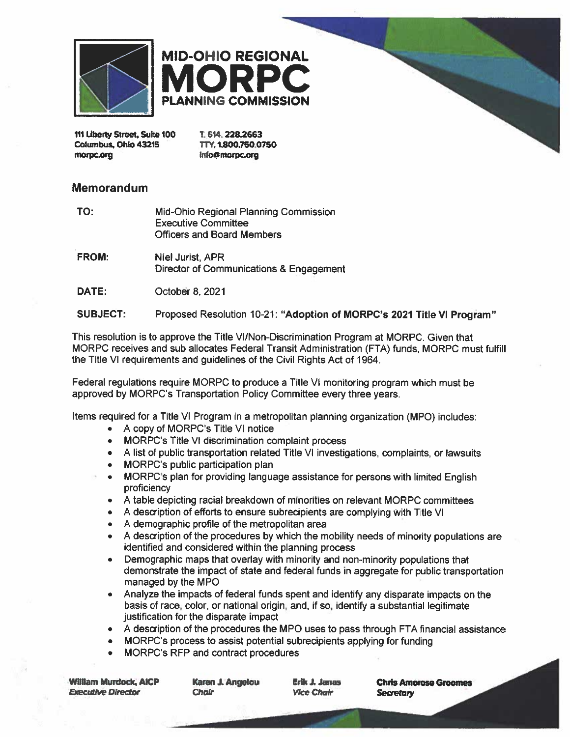



111 Liberty Street, Suite 100 Columbus, Ohio 43215 morpc.org

T. 614, 228.2663 TTY. 1.800.750.0750 Info@morpc.org

#### Memorandum

- TO: Mid-Ohio Regional Planning Commission **Executive Committee Officers and Board Members**
- FROM: Niel Jurist, APR Director of Communications & Engagement

DATE: October 8, 2021

#### **SUBJECT:** Proposed Resolution 10-21: "Adoption of MORPC's 2021 Title VI Program"

This resolution is to approve the Title VI/Non-Discrimination Program at MORPC. Given that MORPC receives and sub allocates Federal Transit Administration (FTA) funds, MORPC must fulfill the Title VI requirements and guidelines of the Civil Rights Act of 1964.

Federal regulations require MORPC to produce a Title VI monitoring program which must be approved by MORPC's Transportation Policy Committee every three years.

Items required for a Title VI Program in a metropolitan planning organization (MPO) includes:

- A copy of MORPC's Title VI notice
- MORPC's Title VI discrimination complaint process
- A list of public transportation related Title VI investigations, complaints, or lawsuits
- MORPC's public participation plan  $\bullet$
- MORPC's plan for providing language assistance for persons with limited English  $\bullet$ proficiency
- A table depicting racial breakdown of minorities on relevant MORPC committees
- A description of efforts to ensure subrecipients are complying with Title VI
- A demographic profile of the metropolitan area
- A description of the procedures by which the mobility needs of minority populations are identified and considered within the planning process
- Demographic maps that overlay with minority and non-minority populations that demonstrate the impact of state and federal funds in aggregate for public transportation managed by the MPO
- Analyze the impacts of federal funds spent and identify any disparate impacts on the basis of race, color, or national origin, and, if so, identify a substantial legitimate justification for the disparate impact
- A description of the procedures the MPO uses to pass through FTA financial assistance
- MORPC's process to assist potential subrecipients applying for funding
- MORPC's RFP and contract procedures

**William Murdock, AICP Executive Director** 

Karen J. Angelou **Chair** 

Erik J. Janas **Vice Chair** 

**Chris Amorose Groomes Secretary**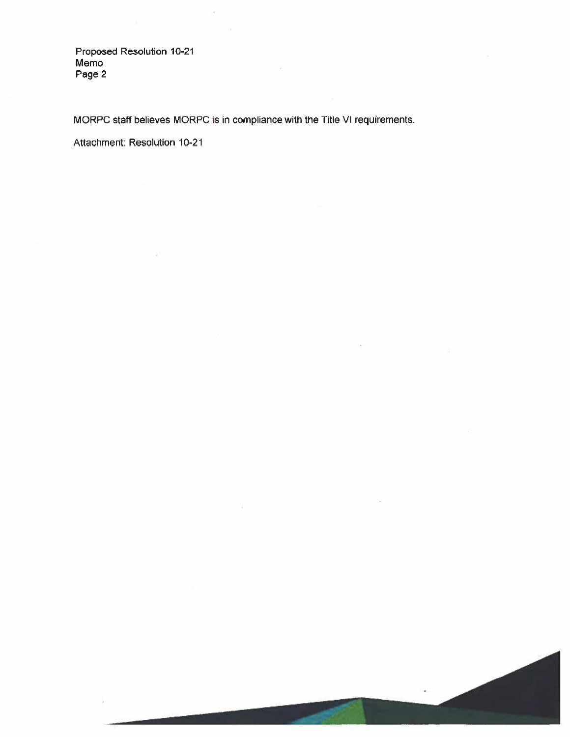Proposed Resolution 10-21 Memo Page 2

MORPC staff believes MORPC is in compliance with the Title VI requirements.

Attachment: Resolution 10-21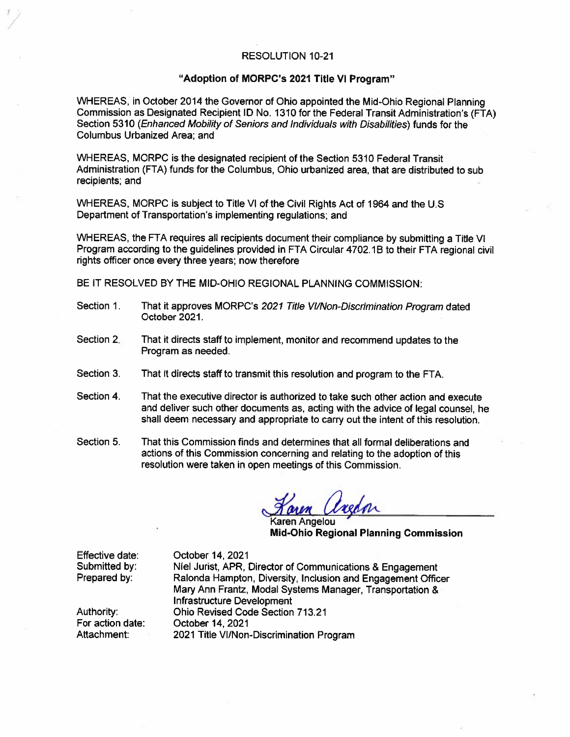#### **RESOLUTION 10-21**

#### "Adoption of MORPC's 2021 Title VI Program"

WHEREAS, in October 2014 the Governor of Ohio appointed the Mid-Ohio Regional Planning Commission as Designated Recipient ID No. 1310 for the Federal Transit Administration's (FTA) Section 5310 (Enhanced Mobility of Seniors and Individuals with Disabilities) funds for the **Columbus Urbanized Area: and** 

WHEREAS, MORPC is the designated recipient of the Section 5310 Federal Transit Administration (FTA) funds for the Columbus, Ohio urbanized area, that are distributed to sub recipients; and

WHEREAS, MORPC is subject to Title VI of the Civil Rights Act of 1964 and the U.S. Department of Transportation's implementing regulations; and

WHEREAS, the FTA requires all recipients document their compliance by submitting a Title VI Program according to the guidelines provided in FTA Circular 4702.1B to their FTA regional civil rights officer once every three years; now therefore

BE IT RESOLVED BY THE MID-OHIO REGIONAL PLANNING COMMISSION:

- That it approves MORPC's 2021 Title VI/Non-Discrimination Program dated Section 1. October 2021.
- Section 2. That it directs staff to implement, monitor and recommend updates to the Program as needed.
- Section 3. That it directs staff to transmit this resolution and program to the FTA.
- Section 4. That the executive director is authorized to take such other action and execute and deliver such other documents as, acting with the advice of legal counsel, he shall deem necessary and appropriate to carry out the intent of this resolution.
- Section 5. That this Commission finds and determines that all formal deliberations and actions of this Commission concerning and relating to the adoption of this resolution were taken in open meetings of this Commission.

ren Angelou **Mid-Ohio Regional Planning Commission** 

Effective date: Submitted by: Prepared by:

October 14, 2021 Niel Jurist, APR, Director of Communications & Engagement Ralonda Hampton, Diversity, Inclusion and Engagement Officer Mary Ann Frantz, Modal Systems Manager, Transportation & Infrastructure Development **Ohio Revised Code Section 713.21** October 14, 2021 2021 Title VI/Non-Discrimination Program

Authority: For action date: Attachment: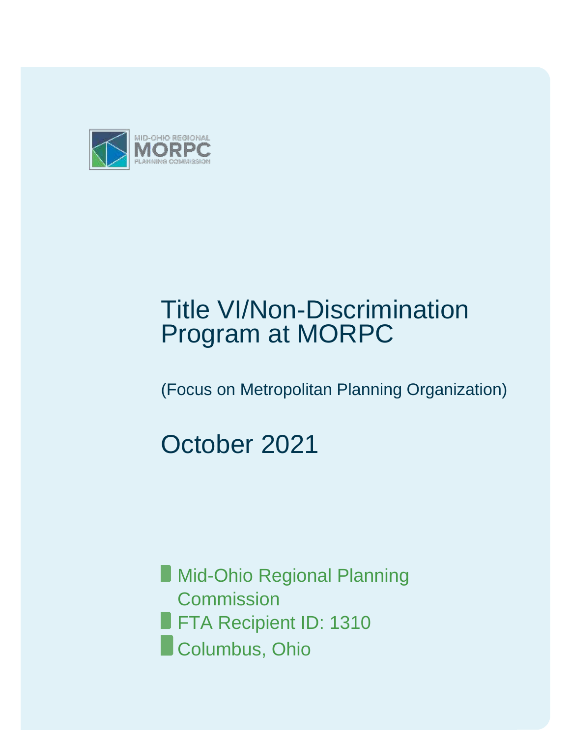

# Title VI/Non-Discrimination Program at MORPC

(Focus on Metropolitan Planning Organization)

# October 2021

**Mid-Ohio Regional Planning Commission FTA Recipient ID: 1310 Columbus, Ohio**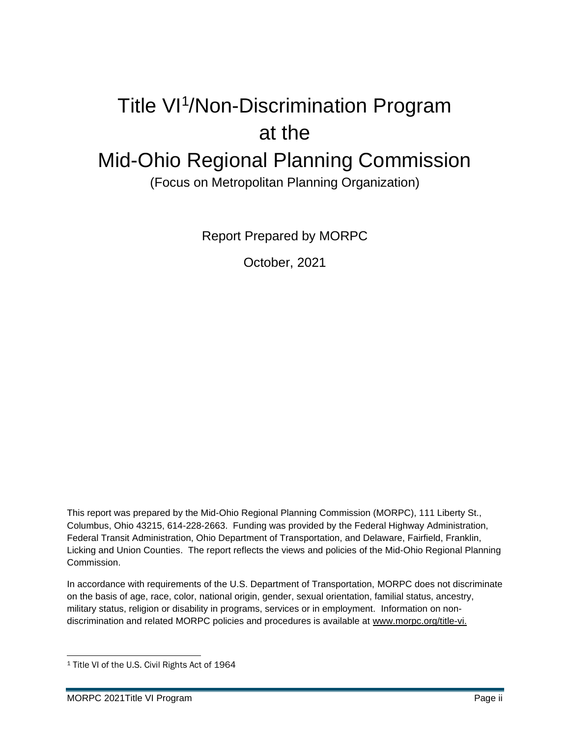# Title VI<sup>1</sup>/Non-Discrimination Program at the Mid-Ohio Regional Planning Commission

(Focus on Metropolitan Planning Organization)

Report Prepared by MORPC

October, 2021

This report was prepared by the Mid-Ohio Regional Planning Commission (MORPC), 111 Liberty St., Columbus, Ohio 43215, 614-228-2663. Funding was provided by the Federal Highway Administration, Federal Transit Administration, Ohio Department of Transportation, and Delaware, Fairfield, Franklin, Licking and Union Counties. The report reflects the views and policies of the Mid-Ohio Regional Planning Commission.

In accordance with requirements of the U.S. Department of Transportation, MORPC does not discriminate on the basis of age, race, color, national origin, gender, sexual orientation, familial status, ancestry, military status, religion or disability in programs, services or in employment. Information on nondiscrimination and related MORPC policies and procedures is available at [www.morpc.org/title-vi.](http://www.morpc.org/title-vi)

<sup>1</sup> Title VI of the U.S. Civil Rights Act of 1964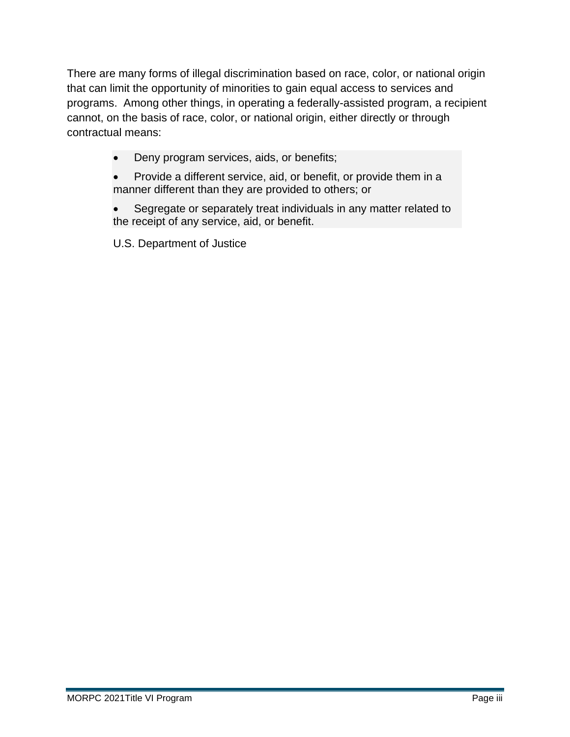There are many forms of illegal discrimination based on race, color, or national origin that can limit the opportunity of minorities to gain equal access to services and programs. Among other things, in operating a federally-assisted program, a recipient cannot, on the basis of race, color, or national origin, either directly or through contractual means:

- Deny program services, aids, or benefits;
- Provide a different service, aid, or benefit, or provide them in a manner different than they are provided to others; or
- Segregate or separately treat individuals in any matter related to the receipt of any service, aid, or benefit.

U.S. Department of Justice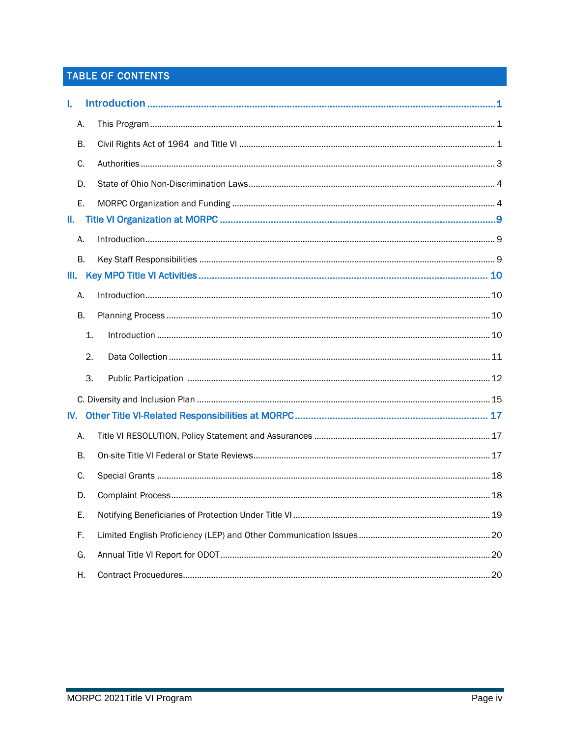# TABLE OF CONTENTS

| L.  |           |  |  |  |
|-----|-----------|--|--|--|
|     | А.        |  |  |  |
|     | В.        |  |  |  |
|     | C.        |  |  |  |
|     | D.        |  |  |  |
|     | Ε.        |  |  |  |
| Ш.  |           |  |  |  |
|     | Α.        |  |  |  |
|     | <b>B.</b> |  |  |  |
| Ш.  |           |  |  |  |
|     | Α.        |  |  |  |
|     | В.        |  |  |  |
|     | 1.        |  |  |  |
|     | 2.        |  |  |  |
|     | 3.        |  |  |  |
|     |           |  |  |  |
| IV. |           |  |  |  |
|     | Α.        |  |  |  |
|     | Β.        |  |  |  |
|     | C.        |  |  |  |
|     | D.        |  |  |  |
|     | Ε.        |  |  |  |
|     | F.        |  |  |  |
|     | G.        |  |  |  |
|     |           |  |  |  |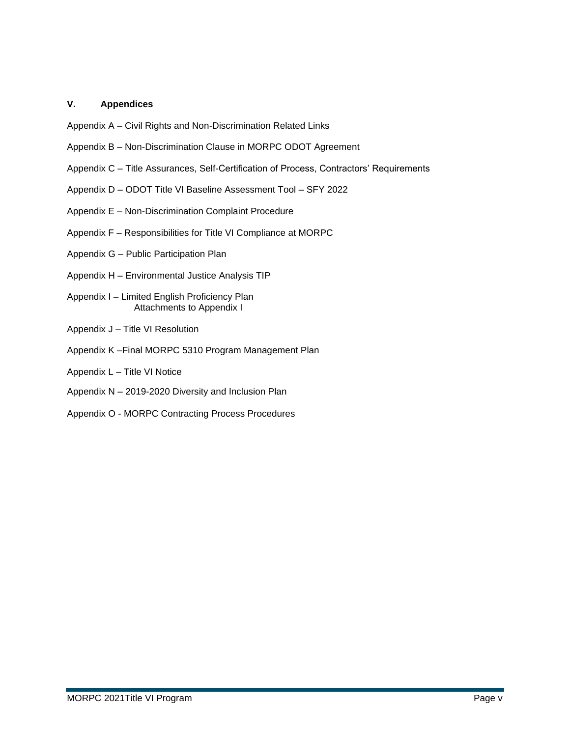#### **V. Appendices**

- Appendix A Civil Rights and Non-Discrimination Related Links
- Appendix B Non-Discrimination Clause in MORPC ODOT Agreement
- Appendix C Title Assurances, Self-Certification of Process, Contractors' Requirements
- Appendix D ODOT Title VI Baseline Assessment Tool SFY 2022
- Appendix E Non-Discrimination Complaint Procedure
- Appendix F Responsibilities for Title VI Compliance at MORPC
- Appendix G Public Participation Plan
- Appendix H Environmental Justice Analysis TIP
- Appendix I Limited English Proficiency Plan Attachments to Appendix I
- Appendix J Title VI Resolution
- Appendix K –Final MORPC 5310 Program Management Plan
- Appendix L Title VI Notice
- Appendix N 2019-2020 Diversity and Inclusion Plan
- Appendix O MORPC Contracting Process Procedures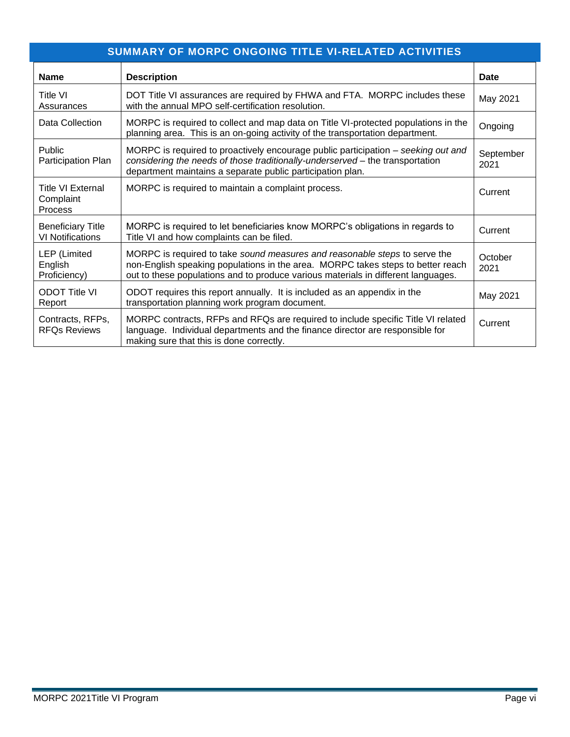| <b>SUMMARY OF MORPC ONGOING TITLE VI-RELATED ACTIVITIES</b> |                                                                                                                                                                                                                                                    |                   |  |  |  |
|-------------------------------------------------------------|----------------------------------------------------------------------------------------------------------------------------------------------------------------------------------------------------------------------------------------------------|-------------------|--|--|--|
| <b>Name</b>                                                 | <b>Description</b>                                                                                                                                                                                                                                 | Date              |  |  |  |
| <b>Title VI</b><br>Assurances                               | DOT Title VI assurances are required by FHWA and FTA. MORPC includes these<br>with the annual MPO self-certification resolution.                                                                                                                   | May 2021          |  |  |  |
| Data Collection                                             | MORPC is required to collect and map data on Title VI-protected populations in the<br>planning area. This is an on-going activity of the transportation department.                                                                                | Ongoing           |  |  |  |
| Public<br>Participation Plan                                | MORPC is required to proactively encourage public participation – seeking out and<br>considering the needs of those traditionally-underserved - the transportation<br>department maintains a separate public participation plan.                   | September<br>2021 |  |  |  |
| <b>Title VI External</b><br>Complaint<br>Process            | MORPC is required to maintain a complaint process.                                                                                                                                                                                                 | Current           |  |  |  |
| <b>Beneficiary Title</b><br><b>VI Notifications</b>         | MORPC is required to let beneficiaries know MORPC's obligations in regards to<br>Title VI and how complaints can be filed.                                                                                                                         | Current           |  |  |  |
| <b>LEP</b> (Limited<br>English<br>Proficiency)              | MORPC is required to take sound measures and reasonable steps to serve the<br>non-English speaking populations in the area. MORPC takes steps to better reach<br>out to these populations and to produce various materials in different languages. | October<br>2021   |  |  |  |
| <b>ODOT Title VI</b><br>Report                              | ODOT requires this report annually. It is included as an appendix in the<br>transportation planning work program document.                                                                                                                         | May 2021          |  |  |  |
| Contracts, RFPs,<br><b>RFQs Reviews</b>                     | MORPC contracts, RFPs and RFQs are required to include specific Title VI related<br>language. Individual departments and the finance director are responsible for<br>making sure that this is done correctly.                                      | Current           |  |  |  |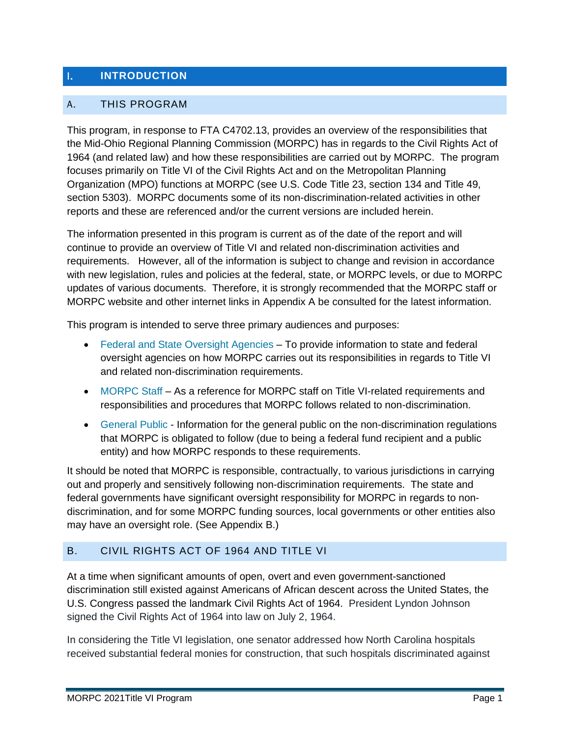# I. **INTRODUCTION**

#### A. THIS PROGRAM

This program, in response to FTA C4702.13, provides an overview of the responsibilities that the Mid-Ohio Regional Planning Commission (MORPC) has in regards to the Civil Rights Act of 1964 (and related law) and how these responsibilities are carried out by MORPC. The program focuses primarily on Title VI of the Civil Rights Act and on the Metropolitan Planning Organization (MPO) functions at MORPC (see U.S. Code Title 23, section 134 and Title 49, section 5303). MORPC documents some of its non-discrimination-related activities in other reports and these are referenced and/or the current versions are included herein.

The information presented in this program is current as of the date of the report and will continue to provide an overview of Title VI and related non-discrimination activities and requirements. However, all of the information is subject to change and revision in accordance with new legislation, rules and policies at the federal, state, or MORPC levels, or due to MORPC updates of various documents. Therefore, it is strongly recommended that the MORPC staff or MORPC website and other internet links in Appendix A be consulted for the latest information.

This program is intended to serve three primary audiences and purposes:

- Federal and State Oversight Agencies To provide information to state and federal oversight agencies on how MORPC carries out its responsibilities in regards to Title VI and related non-discrimination requirements.
- MORPC Staff As a reference for MORPC staff on Title VI-related requirements and responsibilities and procedures that MORPC follows related to non-discrimination.
- General Public Information for the general public on the non-discrimination regulations that MORPC is obligated to follow (due to being a federal fund recipient and a public entity) and how MORPC responds to these requirements.

It should be noted that MORPC is responsible, contractually, to various jurisdictions in carrying out and properly and sensitively following non-discrimination requirements. The state and federal governments have significant oversight responsibility for MORPC in regards to nondiscrimination, and for some MORPC funding sources, local governments or other entities also may have an oversight role. (See Appendix B.)

### B. CIVIL RIGHTS ACT OF 1964 AND TITLE VI

At a time when significant amounts of open, overt and even government-sanctioned discrimination still existed against Americans of African descent across the United States, the U.S. Congress passed the landmark Civil Rights Act of 1964. President Lyndon Johnson signed the Civil Rights Act of 1964 into law on July 2, 1964.

In considering the Title VI legislation, one senator addressed how North Carolina hospitals received substantial federal monies for construction, that such hospitals discriminated against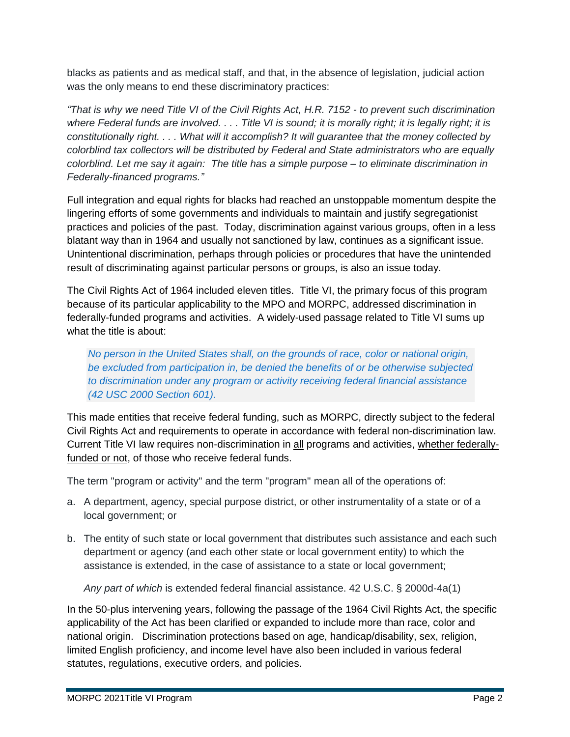blacks as patients and as medical staff, and that, in the absence of legislation, judicial action was the only means to end these discriminatory practices:

*"That is why we need Title VI of the Civil Rights Act, H.R. 7152 - to prevent such discrimination*  where Federal funds are involved. . . . Title VI is sound; it is morally right; it is legally right; it is *constitutionally right. . . . What will it accomplish? It will guarantee that the money collected by colorblind tax collectors will be distributed by Federal and State administrators who are equally colorblind. Let me say it again: The title has a simple purpose – to eliminate discrimination in Federally-financed programs."*

Full integration and equal rights for blacks had reached an unstoppable momentum despite the lingering efforts of some governments and individuals to maintain and justify segregationist practices and policies of the past. Today, discrimination against various groups, often in a less blatant way than in 1964 and usually not sanctioned by law, continues as a significant issue. Unintentional discrimination, perhaps through policies or procedures that have the unintended result of discriminating against particular persons or groups, is also an issue today.

The Civil Rights Act of 1964 included eleven titles. Title VI, the primary focus of this program because of its particular applicability to the MPO and MORPC, addressed discrimination in federally-funded programs and activities. A widely-used passage related to Title VI sums up what the title is about:

*No person in the United States shall, on the grounds of race, color or national origin, be excluded from participation in, be denied the benefits of or be otherwise subjected to discrimination under any program or activity receiving federal financial assistance (42 USC 2000 Section 601).*

This made entities that receive federal funding, such as MORPC, directly subject to the federal Civil Rights Act and requirements to operate in accordance with federal non-discrimination law. Current Title VI law requires non-discrimination in all programs and activities, whether federallyfunded or not, of those who receive federal funds.

The term "program or activity" and the term "program" mean all of the operations of:

- a. A department, agency, special purpose district, or other instrumentality of a state or of a local government; or
- b. The entity of such state or local government that distributes such assistance and each such department or agency (and each other state or local government entity) to which the assistance is extended, in the case of assistance to a state or local government;

*Any part of which* is extended federal financial assistance. 42 U.S.C. § 2000d-4a(1)

In the 50-plus intervening years, following the passage of the 1964 Civil Rights Act, the specific applicability of the Act has been clarified or expanded to include more than race, color and national origin. Discrimination protections based on age, handicap/disability, sex, religion, limited English proficiency, and income level have also been included in various federal statutes, regulations, executive orders, and policies.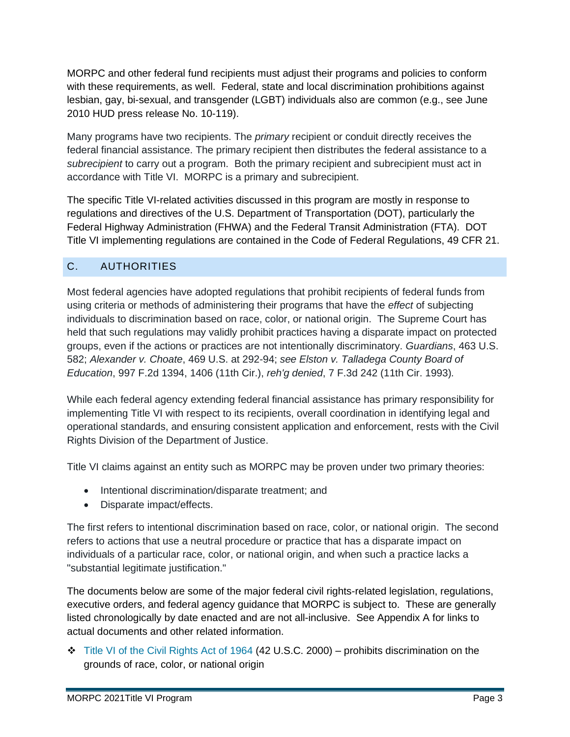MORPC and other federal fund recipients must adjust their programs and policies to conform with these requirements, as well. Federal, state and local discrimination prohibitions against lesbian, gay, bi-sexual, and transgender (LGBT) individuals also are common (e.g., see June 2010 HUD press release No. 10-119).

Many programs have two recipients. The *primary* recipient or conduit directly receives the federal financial assistance. The primary recipient then distributes the federal assistance to a *subrecipient* to carry out a program. Both the primary recipient and subrecipient must act in accordance with Title VI. MORPC is a primary and subrecipient.

The specific Title VI-related activities discussed in this program are mostly in response to regulations and directives of the U.S. Department of Transportation (DOT), particularly the Federal Highway Administration (FHWA) and the Federal Transit Administration (FTA). DOT Title VI implementing regulations are contained in the Code of Federal Regulations, 49 CFR 21.

# C. AUTHORITIES

Most federal agencies have adopted regulations that prohibit recipients of federal funds from using criteria or methods of administering their programs that have the *effect* of subjecting individuals to discrimination based on race, color, or national origin. The Supreme Court has held that such regulations may validly prohibit practices having a disparate impact on protected groups, even if the actions or practices are not intentionally discriminatory. *Guardians*, 463 U.S. 582; *Alexander v. Choate*, 469 U.S. at 292-94; *see Elston v. Talladega County Board of Education*, 997 F.2d 1394, 1406 (11th Cir.), *reh'g denied*, 7 F.3d 242 (11th Cir. 1993)*.*

While each federal agency extending federal financial assistance has primary responsibility for implementing Title VI with respect to its recipients, overall coordination in identifying legal and operational standards, and ensuring consistent application and enforcement, rests with the Civil Rights Division of the Department of Justice.

Title VI claims against an entity such as MORPC may be proven under two primary theories:

- Intentional discrimination/disparate treatment; and
- Disparate impact/effects.

The first refers to intentional discrimination based on race, color, or national origin. The second refers to actions that use a neutral procedure or practice that has a disparate impact on individuals of a particular race, color, or national origin, and when such a practice lacks a "substantial legitimate justification."

The documents below are some of the major federal civil rights-related legislation, regulations, executive orders, and federal agency guidance that MORPC is subject to. These are generally listed chronologically by date enacted and are not all-inclusive. See Appendix A for links to actual documents and other related information.

❖ Title VI of the Civil Rights Act of 1964 (42 U.S.C. 2000) – prohibits discrimination on the grounds of race, color, or national origin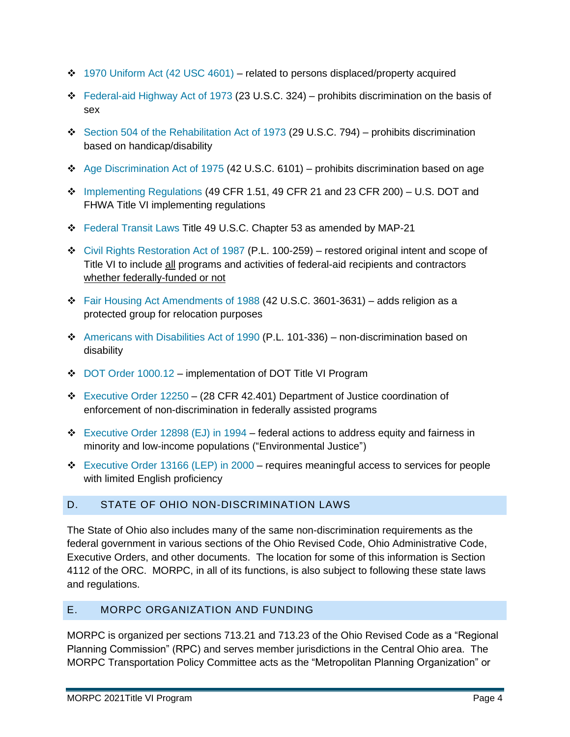- $\div$  1970 Uniform Act (42 USC 4601) related to persons displaced/property acquired
- ❖ Federal-aid Highway Act of 1973 (23 U.S.C. 324) prohibits discrimination on the basis of sex
- ❖ Section 504 of the Rehabilitation Act of 1973 (29 U.S.C. 794) prohibits discrimination based on handicap/disability
- ❖ Age Discrimination Act of 1975 (42 U.S.C. 6101) prohibits discrimination based on age
- $\div$  Implementing Regulations (49 CFR 1.51, 49 CFR 21 and 23 CFR 200) U.S. DOT and FHWA Title VI implementing regulations
- ❖ Federal Transit Laws Title 49 U.S.C. Chapter 53 as amended by MAP-21
- ❖ Civil Rights Restoration Act of 1987 (P.L. 100-259) restored original intent and scope of Title VI to include all programs and activities of federal-aid recipients and contractors whether federally-funded or not
- ❖ Fair Housing Act Amendments of 1988 (42 U.S.C. 3601-3631) adds religion as a protected group for relocation purposes
- ❖ Americans with Disabilities Act of 1990 (P.L. 101-336) non-discrimination based on disability
- ❖ DOT Order 1000.12 implementation of DOT Title VI Program
- ❖ Executive Order 12250 (28 CFR 42.401) Department of Justice coordination of enforcement of non-discrimination in federally assisted programs
- ❖ Executive Order 12898 (EJ) in 1994 federal actions to address equity and fairness in minority and low-income populations ("Environmental Justice")
- ❖ Executive Order 13166 (LEP) in 2000 requires meaningful access to services for people with limited English proficiency

### D. STATE OF OHIO NON-DISCRIMINATION LAWS

The State of Ohio also includes many of the same non-discrimination requirements as the federal government in various sections of the Ohio Revised Code, Ohio Administrative Code, Executive Orders, and other documents. The location for some of this information is Section 4112 of the ORC. MORPC, in all of its functions, is also subject to following these state laws and regulations.

### E. MORPC ORGANIZATION AND FUNDING

MORPC is organized per sections 713.21 and 713.23 of the Ohio Revised Code as a "Regional Planning Commission" (RPC) and serves member jurisdictions in the Central Ohio area. The MORPC Transportation Policy Committee acts as the "Metropolitan Planning Organization" or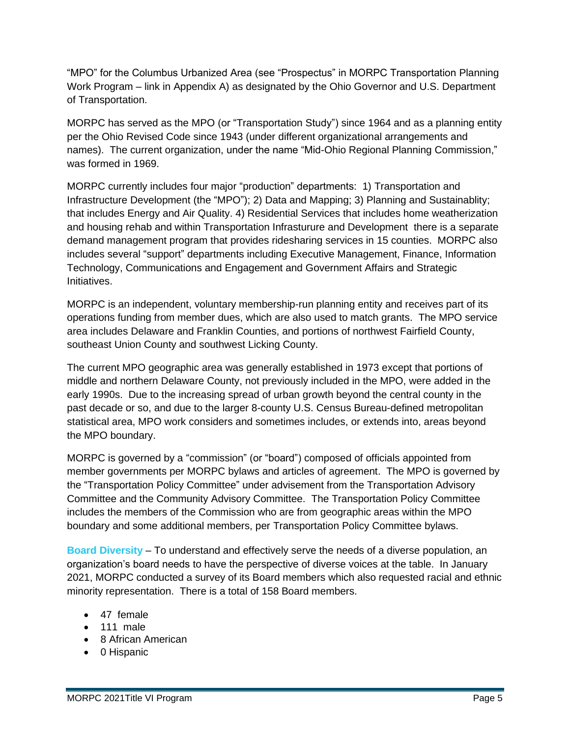"MPO" for the Columbus Urbanized Area (see "Prospectus" in MORPC Transportation Planning Work Program – link in Appendix A) as designated by the Ohio Governor and U.S. Department of Transportation.

MORPC has served as the MPO (or "Transportation Study") since 1964 and as a planning entity per the Ohio Revised Code since 1943 (under different organizational arrangements and names). The current organization, under the name "Mid-Ohio Regional Planning Commission," was formed in 1969.

MORPC currently includes four major "production" departments: 1) Transportation and Infrastructure Development (the "MPO"); 2) Data and Mapping; 3) Planning and Sustainablity; that includes Energy and Air Quality. 4) Residential Services that includes home weatherization and housing rehab and within Transportation Infrasturure and Development there is a separate demand management program that provides ridesharing services in 15 counties. MORPC also includes several "support" departments including Executive Management, Finance, Information Technology, Communications and Engagement and Government Affairs and Strategic Initiatives.

MORPC is an independent, voluntary membership-run planning entity and receives part of its operations funding from member dues, which are also used to match grants. The MPO service area includes Delaware and Franklin Counties, and portions of northwest Fairfield County, southeast Union County and southwest Licking County.

The current MPO geographic area was generally established in 1973 except that portions of middle and northern Delaware County, not previously included in the MPO, were added in the early 1990s. Due to the increasing spread of urban growth beyond the central county in the past decade or so, and due to the larger 8-county U.S. Census Bureau-defined metropolitan statistical area, MPO work considers and sometimes includes, or extends into, areas beyond the MPO boundary.

MORPC is governed by a "commission" (or "board") composed of officials appointed from member governments per MORPC bylaws and articles of agreement. The MPO is governed by the "Transportation Policy Committee" under advisement from the Transportation Advisory Committee and the Community Advisory Committee. The Transportation Policy Committee includes the members of the Commission who are from geographic areas within the MPO boundary and some additional members, per Transportation Policy Committee bylaws.

**Board Diversity** – To understand and effectively serve the needs of a diverse population, an organization's board needs to have the perspective of diverse voices at the table. In January 2021, MORPC conducted a survey of its Board members which also requested racial and ethnic minority representation. There is a total of 158 Board members.

- 47 female
- 111 male
- 8 African American
- 0 Hispanic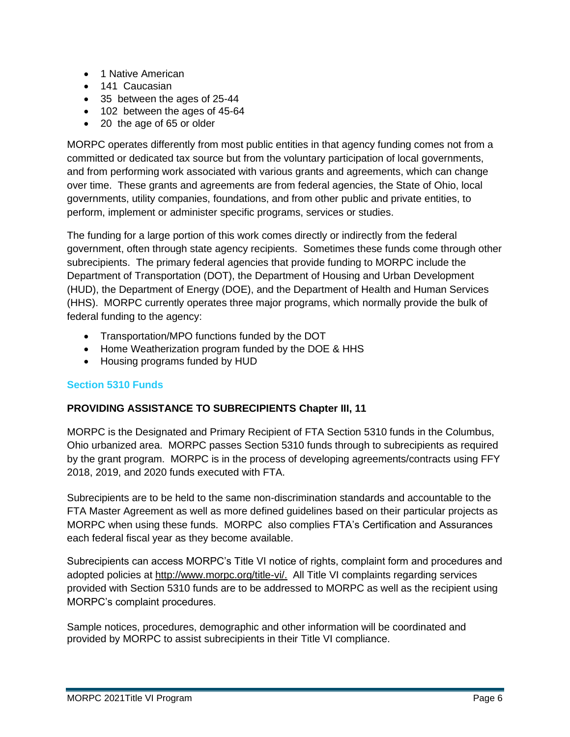- 1 Native American
- 141 Caucasian
- 35 between the ages of 25-44
- 102 between the ages of 45-64
- 20 the age of 65 or older

MORPC operates differently from most public entities in that agency funding comes not from a committed or dedicated tax source but from the voluntary participation of local governments, and from performing work associated with various grants and agreements, which can change over time. These grants and agreements are from federal agencies, the State of Ohio, local governments, utility companies, foundations, and from other public and private entities, to perform, implement or administer specific programs, services or studies.

The funding for a large portion of this work comes directly or indirectly from the federal government, often through state agency recipients. Sometimes these funds come through other subrecipients. The primary federal agencies that provide funding to MORPC include the Department of Transportation (DOT), the Department of Housing and Urban Development (HUD), the Department of Energy (DOE), and the Department of Health and Human Services (HHS). MORPC currently operates three major programs, which normally provide the bulk of federal funding to the agency:

- Transportation/MPO functions funded by the DOT
- Home Weatherization program funded by the DOE & HHS
- Housing programs funded by HUD

#### **Section 5310 Funds**

#### **PROVIDING ASSISTANCE TO SUBRECIPIENTS Chapter III, 11**

MORPC is the Designated and Primary Recipient of FTA Section 5310 funds in the Columbus, Ohio urbanized area. MORPC passes Section 5310 funds through to subrecipients as required by the grant program. MORPC is in the process of developing agreements/contracts using FFY 2018, 2019, and 2020 funds executed with FTA.

Subrecipients are to be held to the same non-discrimination standards and accountable to the FTA Master Agreement as well as more defined guidelines based on their particular projects as MORPC when using these funds. MORPC also complies FTA's Certification and Assurances each federal fiscal year as they become available.

Subrecipients can access MORPC's Title VI notice of rights, complaint form and procedures and adopted policies at http://www.morpc.org/title-vi/. All Title VI complaints regarding services provided with Section 5310 funds are to be addressed to MORPC as well as the recipient using MORPC's complaint procedures.

Sample notices, procedures, demographic and other information will be coordinated and provided by MORPC to assist subrecipients in their Title VI compliance.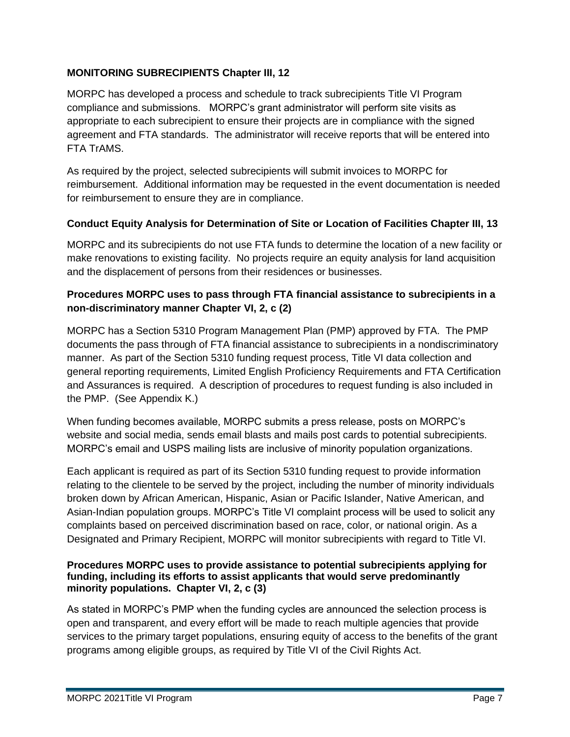### **MONITORING SUBRECIPIENTS Chapter III, 12**

MORPC has developed a process and schedule to track subrecipients Title VI Program compliance and submissions. MORPC's grant administrator will perform site visits as appropriate to each subrecipient to ensure their projects are in compliance with the signed agreement and FTA standards. The administrator will receive reports that will be entered into FTA TrAMS.

As required by the project, selected subrecipients will submit invoices to MORPC for reimbursement. Additional information may be requested in the event documentation is needed for reimbursement to ensure they are in compliance.

### **Conduct Equity Analysis for Determination of Site or Location of Facilities Chapter III, 13**

MORPC and its subrecipients do not use FTA funds to determine the location of a new facility or make renovations to existing facility. No projects require an equity analysis for land acquisition and the displacement of persons from their residences or businesses.

# **Procedures MORPC uses to pass through FTA financial assistance to subrecipients in a non-discriminatory manner Chapter VI, 2, c (2)**

MORPC has a Section 5310 Program Management Plan (PMP) approved by FTA. The PMP documents the pass through of FTA financial assistance to subrecipients in a nondiscriminatory manner. As part of the Section 5310 funding request process, Title VI data collection and general reporting requirements, Limited English Proficiency Requirements and FTA Certification and Assurances is required. A description of procedures to request funding is also included in the PMP. (See Appendix K.)

When funding becomes available, MORPC submits a press release, posts on MORPC's website and social media, sends email blasts and mails post cards to potential subrecipients. MORPC's email and USPS mailing lists are inclusive of minority population organizations.

Each applicant is required as part of its Section 5310 funding request to provide information relating to the clientele to be served by the project, including the number of minority individuals broken down by African American, Hispanic, Asian or Pacific Islander, Native American, and Asian-Indian population groups. MORPC's Title VI complaint process will be used to solicit any complaints based on perceived discrimination based on race, color, or national origin. As a Designated and Primary Recipient, MORPC will monitor subrecipients with regard to Title VI.

#### **Procedures MORPC uses to provide assistance to potential subrecipients applying for funding, including its efforts to assist applicants that would serve predominantly minority populations. Chapter VI, 2, c (3)**

As stated in MORPC's PMP when the funding cycles are announced the selection process is open and transparent, and every effort will be made to reach multiple agencies that provide services to the primary target populations, ensuring equity of access to the benefits of the grant programs among eligible groups, as required by Title VI of the Civil Rights Act.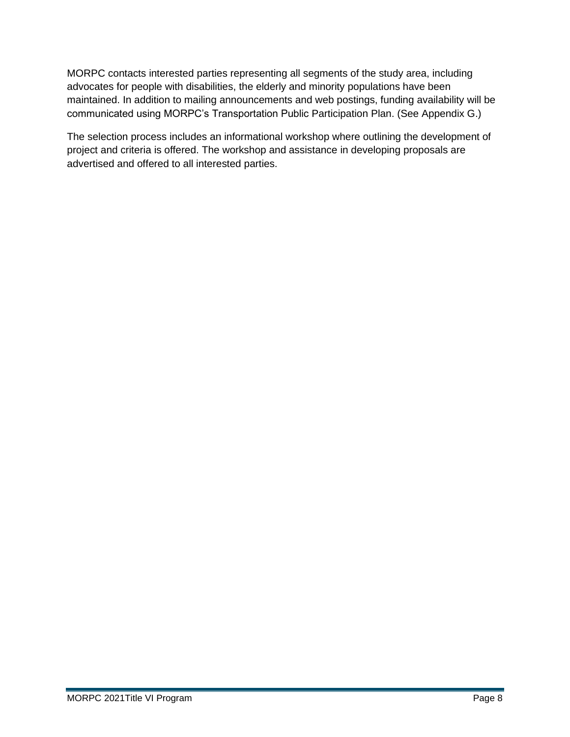MORPC contacts interested parties representing all segments of the study area, including advocates for people with disabilities, the elderly and minority populations have been maintained. In addition to mailing announcements and web postings, funding availability will be communicated using MORPC's Transportation Public Participation Plan. (See Appendix G.)

The selection process includes an informational workshop where outlining the development of project and criteria is offered. The workshop and assistance in developing proposals are advertised and offered to all interested parties.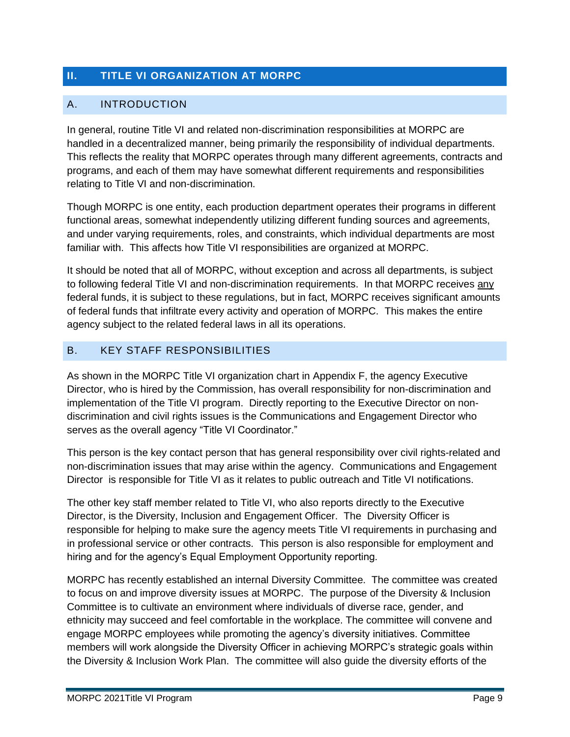# **II. TITLE VI ORGANIZATION AT MORPC**

# A. INTRODUCTION

In general, routine Title VI and related non-discrimination responsibilities at MORPC are handled in a decentralized manner, being primarily the responsibility of individual departments. This reflects the reality that MORPC operates through many different agreements, contracts and programs, and each of them may have somewhat different requirements and responsibilities relating to Title VI and non-discrimination.

Though MORPC is one entity, each production department operates their programs in different functional areas, somewhat independently utilizing different funding sources and agreements, and under varying requirements, roles, and constraints, which individual departments are most familiar with. This affects how Title VI responsibilities are organized at MORPC.

It should be noted that all of MORPC, without exception and across all departments, is subject to following federal Title VI and non-discrimination requirements. In that MORPC receives any federal funds, it is subject to these regulations, but in fact, MORPC receives significant amounts of federal funds that infiltrate every activity and operation of MORPC. This makes the entire agency subject to the related federal laws in all its operations.

# B. KEY STAFF RESPONSIBILITIES

As shown in the MORPC Title VI organization chart in Appendix F, the agency Executive Director, who is hired by the Commission, has overall responsibility for non-discrimination and implementation of the Title VI program. Directly reporting to the Executive Director on nondiscrimination and civil rights issues is the Communications and Engagement Director who serves as the overall agency "Title VI Coordinator."

This person is the key contact person that has general responsibility over civil rights-related and non-discrimination issues that may arise within the agency. Communications and Engagement Director is responsible for Title VI as it relates to public outreach and Title VI notifications.

The other key staff member related to Title VI, who also reports directly to the Executive Director, is the Diversity, Inclusion and Engagement Officer. The Diversity Officer is responsible for helping to make sure the agency meets Title VI requirements in purchasing and in professional service or other contracts. This person is also responsible for employment and hiring and for the agency's Equal Employment Opportunity reporting.

MORPC has recently established an internal Diversity Committee. The committee was created to focus on and improve diversity issues at MORPC. The purpose of the Diversity & Inclusion Committee is to cultivate an environment where individuals of diverse race, gender, and ethnicity may succeed and feel comfortable in the workplace. The committee will convene and engage MORPC employees while promoting the agency's diversity initiatives. Committee members will work alongside the Diversity Officer in achieving MORPC's strategic goals within the Diversity & Inclusion Work Plan. The committee will also guide the diversity efforts of the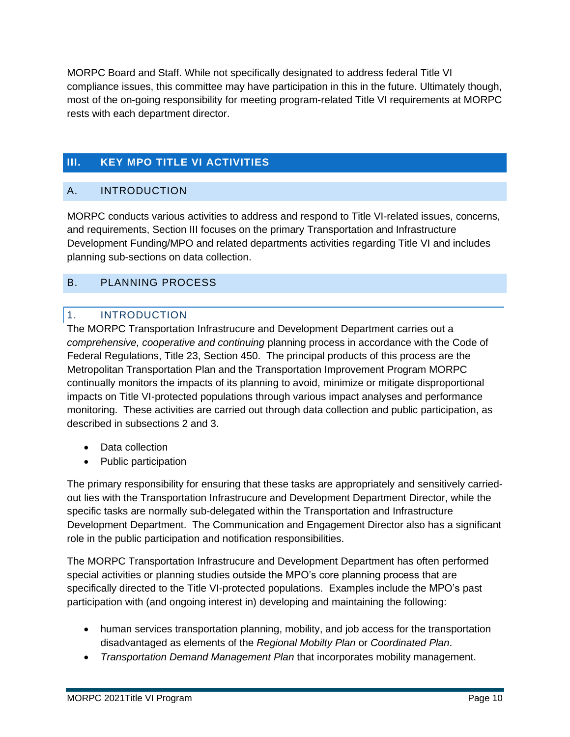MORPC Board and Staff. While not specifically designated to address federal Title VI compliance issues, this committee may have participation in this in the future. Ultimately though, most of the on-going responsibility for meeting program-related Title VI requirements at MORPC rests with each department director.

# **III. KEY MPO TITLE VI ACTIVITIES**

# A. INTRODUCTION

MORPC conducts various activities to address and respond to Title VI-related issues, concerns, and requirements, Section III focuses on the primary Transportation and Infrastructure Development Funding/MPO and related departments activities regarding Title VI and includes planning sub-sections on data collection.

# B. PLANNING PROCESS

### 1. INTRODUCTION

The MORPC Transportation Infrastrucure and Development Department carries out a *comprehensive, cooperative and continuing* planning process in accordance with the Code of Federal Regulations, Title 23, Section 450. The principal products of this process are the Metropolitan Transportation Plan and the Transportation Improvement Program MORPC continually monitors the impacts of its planning to avoid, minimize or mitigate disproportional impacts on Title VI-protected populations through various impact analyses and performance monitoring. These activities are carried out through data collection and public participation, as described in subsections 2 and 3.

- Data collection
- Public participation

The primary responsibility for ensuring that these tasks are appropriately and sensitively carriedout lies with the Transportation Infrastrucure and Development Department Director, while the specific tasks are normally sub-delegated within the Transportation and Infrastructure Development Department. The Communication and Engagement Director also has a significant role in the public participation and notification responsibilities.

The MORPC Transportation Infrastrucure and Development Department has often performed special activities or planning studies outside the MPO's core planning process that are specifically directed to the Title VI-protected populations. Examples include the MPO's past participation with (and ongoing interest in) developing and maintaining the following:

- human services transportation planning, mobility, and job access for the transportation disadvantaged as elements of the *Regional Mobilty Plan* or *Coordinated Plan*.
- *Transportation Demand Management Plan* that incorporates mobility management.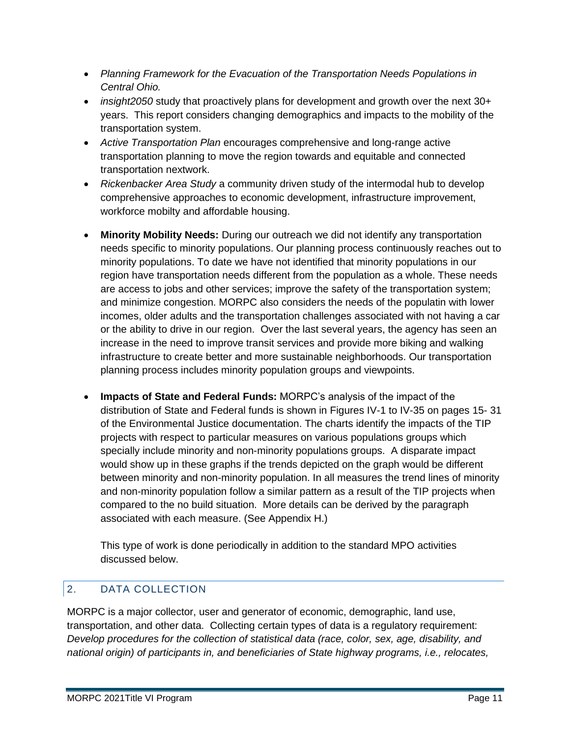- *Planning Framework for the Evacuation of the Transportation Needs Populations in Central Ohio.*
- *insight2050* study that proactively plans for development and growth over the next 30+ years. This report considers changing demographics and impacts to the mobility of the transportation system.
- *Active Transportation Plan* encourages comprehensive and long-range active transportation planning to move the region towards and equitable and connected transportation nextwork.
- *Rickenbacker Area Study* a community driven study of the intermodal hub to develop comprehensive approaches to economic development, infrastructure improvement, workforce mobilty and affordable housing.
- **Minority Mobility Needs:** During our outreach we did not identify any transportation needs specific to minority populations. Our planning process continuously reaches out to minority populations. To date we have not identified that minority populations in our region have transportation needs different from the population as a whole. These needs are access to jobs and other services; improve the safety of the transportation system; and minimize congestion. MORPC also considers the needs of the populatin with lower incomes, older adults and the transportation challenges associated with not having a car or the ability to drive in our region. Over the last several years, the agency has seen an increase in the need to improve transit services and provide more biking and walking infrastructure to create better and more sustainable neighborhoods. Our transportation planning process includes minority population groups and viewpoints.
- **Impacts of State and Federal Funds:** MORPC's analysis of the impact of the distribution of State and Federal funds is shown in Figures IV-1 to IV-35 on pages 15- 31 of the Environmental Justice documentation. The charts identify the impacts of the TIP projects with respect to particular measures on various populations groups which specially include minority and non-minority populations groups. A disparate impact would show up in these graphs if the trends depicted on the graph would be different between minority and non-minority population. In all measures the trend lines of minority and non-minority population follow a similar pattern as a result of the TIP projects when compared to the no build situation. More details can be derived by the paragraph associated with each measure. (See Appendix H.)

This type of work is done periodically in addition to the standard MPO activities discussed below.

# 2. DATA COLLECTION

MORPC is a major collector, user and generator of economic, demographic, land use, transportation, and other data. Collecting certain types of data is a regulatory requirement: *Develop procedures for the collection of statistical data (race, color, sex, age, disability, and national origin) of participants in, and beneficiaries of State highway programs, i.e., relocates,*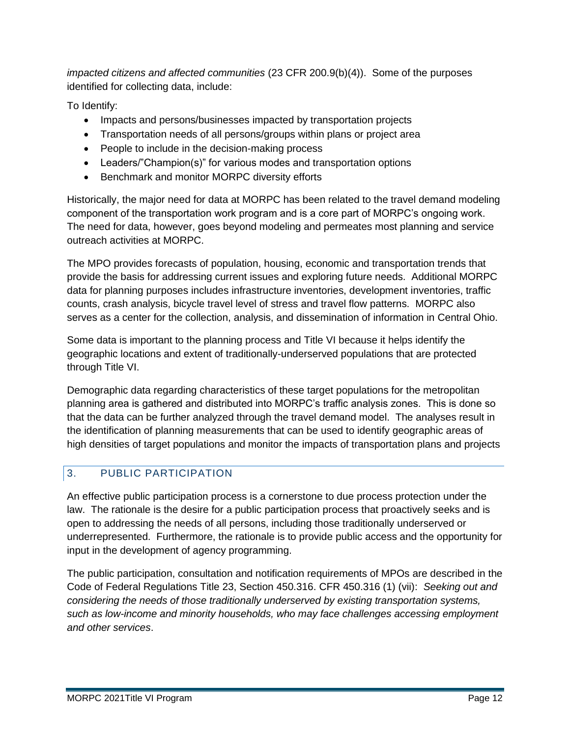*impacted citizens and affected communities* (23 CFR 200.9(b)(4)). Some of the purposes identified for collecting data, include:

To Identify:

- Impacts and persons/businesses impacted by transportation projects
- Transportation needs of all persons/groups within plans or project area
- People to include in the decision-making process
- Leaders/"Champion(s)" for various modes and transportation options
- Benchmark and monitor MORPC diversity efforts

Historically, the major need for data at MORPC has been related to the travel demand modeling component of the transportation work program and is a core part of MORPC's ongoing work. The need for data, however, goes beyond modeling and permeates most planning and service outreach activities at MORPC.

The MPO provides forecasts of population, housing, economic and transportation trends that provide the basis for addressing current issues and exploring future needs. Additional MORPC data for planning purposes includes infrastructure inventories, development inventories, traffic counts, crash analysis, bicycle travel level of stress and travel flow patterns. MORPC also serves as a center for the collection, analysis, and dissemination of information in Central Ohio.

Some data is important to the planning process and Title VI because it helps identify the geographic locations and extent of traditionally-underserved populations that are protected through Title VI.

Demographic data regarding characteristics of these target populations for the metropolitan planning area is gathered and distributed into MORPC's traffic analysis zones. This is done so that the data can be further analyzed through the travel demand model. The analyses result in the identification of planning measurements that can be used to identify geographic areas of high densities of target populations and monitor the impacts of transportation plans and projects

# 3. PUBLIC PARTICIPATION

An effective public participation process is a cornerstone to due process protection under the law. The rationale is the desire for a public participation process that proactively seeks and is open to addressing the needs of all persons, including those traditionally underserved or underrepresented. Furthermore, the rationale is to provide public access and the opportunity for input in the development of agency programming.

The public participation, consultation and notification requirements of MPOs are described in the Code of Federal Regulations Title 23, Section 450.316. CFR 450.316 (1) (vii): *Seeking out and considering the needs of those traditionally underserved by existing transportation systems, such as low-income and minority households, who may face challenges accessing employment and other services*.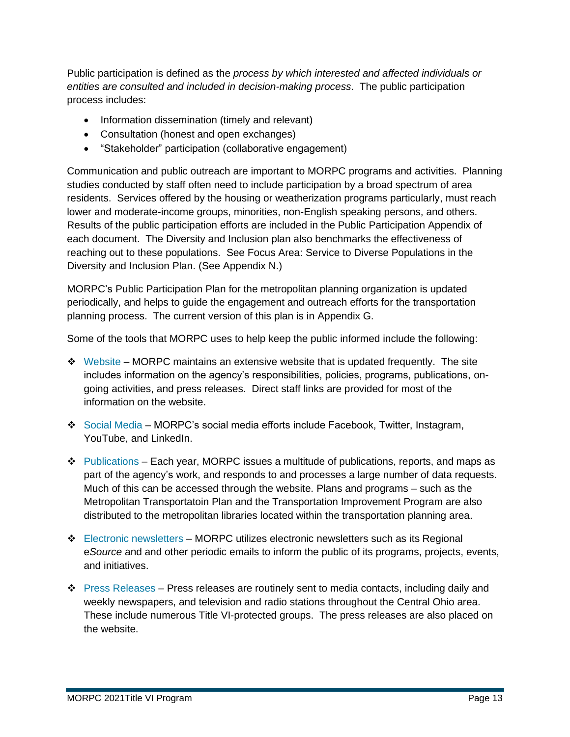Public participation is defined as the *process by which interested and affected individuals or entities are consulted and included in decision-making process*. The public participation process includes:

- Information dissemination (timely and relevant)
- Consultation (honest and open exchanges)
- "Stakeholder" participation (collaborative engagement)

Communication and public outreach are important to MORPC programs and activities. Planning studies conducted by staff often need to include participation by a broad spectrum of area residents. Services offered by the housing or weatherization programs particularly, must reach lower and moderate-income groups, minorities, non-English speaking persons, and others. Results of the public participation efforts are included in the Public Participation Appendix of each document. The Diversity and Inclusion plan also benchmarks the effectiveness of reaching out to these populations. See Focus Area: Service to Diverse Populations in the Diversity and Inclusion Plan. (See Appendix N.)

MORPC's Public Participation Plan for the metropolitan planning organization is updated periodically, and helps to guide the engagement and outreach efforts for the transportation planning process. The current version of this plan is in Appendix G.

Some of the tools that MORPC uses to help keep the public informed include the following:

- $\div$  Website MORPC maintains an extensive website that is updated frequently. The site includes information on the agency's responsibilities, policies, programs, publications, ongoing activities, and press releases. Direct staff links are provided for most of the information on the website.
- ❖ Social Media MORPC's social media efforts include Facebook, Twitter, Instagram, YouTube, and LinkedIn.
- ❖ Publications Each year, MORPC issues a multitude of publications, reports, and maps as part of the agency's work, and responds to and processes a large number of data requests. Much of this can be accessed through the website. Plans and programs – such as the Metropolitan Transportatoin Plan and the Transportation Improvement Program are also distributed to the metropolitan libraries located within the transportation planning area.
- $\div$  Electronic newsletters MORPC utilizes electronic newsletters such as its Regional e*Source* and and other periodic emails to inform the public of its programs, projects, events, and initiatives.
- ❖ Press Releases Press releases are routinely sent to media contacts, including daily and weekly newspapers, and television and radio stations throughout the Central Ohio area. These include numerous Title VI-protected groups. The press releases are also placed on the website.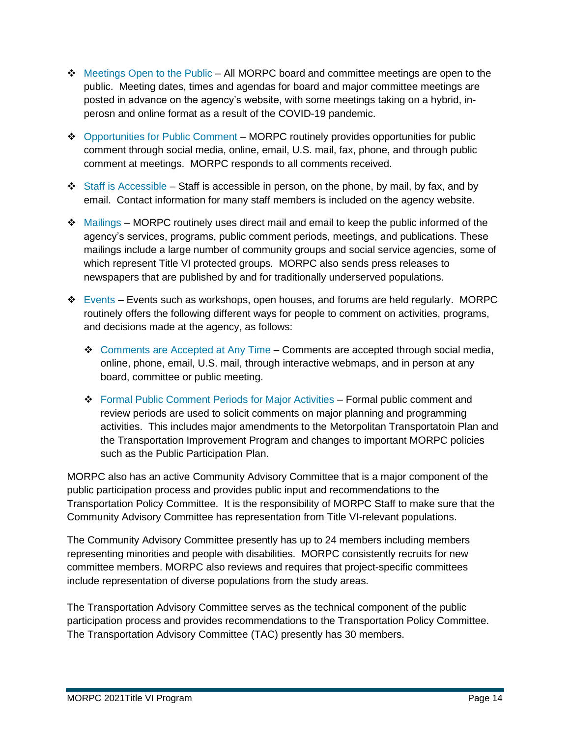- ❖ Meetings Open to the Public All MORPC board and committee meetings are open to the public. Meeting dates, times and agendas for board and major committee meetings are posted in advance on the agency's website, with some meetings taking on a hybrid, inperosn and online format as a result of the COVID-19 pandemic.
- ❖ Opportunities for Public Comment MORPC routinely provides opportunities for public comment through social media, online, email, U.S. mail, fax, phone, and through public comment at meetings. MORPC responds to all comments received.
- $\div$  Staff is Accessible Staff is accessible in person, on the phone, by mail, by fax, and by email. Contact information for many staff members is included on the agency website.
- $\div$  Mailings MORPC routinely uses direct mail and email to keep the public informed of the agency's services, programs, public comment periods, meetings, and publications. These mailings include a large number of community groups and social service agencies, some of which represent Title VI protected groups. MORPC also sends press releases to newspapers that are published by and for traditionally underserved populations.
- $\div$  Events Events such as workshops, open houses, and forums are held regularly. MORPC routinely offers the following different ways for people to comment on activities, programs, and decisions made at the agency, as follows:
	- ❖ Comments are Accepted at Any Time Comments are accepted through social media, online, phone, email, U.S. mail, through interactive webmaps, and in person at any board, committee or public meeting.
	- ❖ Formal Public Comment Periods for Major Activities Formal public comment and review periods are used to solicit comments on major planning and programming activities. This includes major amendments to the Metorpolitan Transportatoin Plan and the Transportation Improvement Program and changes to important MORPC policies such as the Public Participation Plan.

MORPC also has an active Community Advisory Committee that is a major component of the public participation process and provides public input and recommendations to the Transportation Policy Committee. It is the responsibility of MORPC Staff to make sure that the Community Advisory Committee has representation from Title VI-relevant populations.

The Community Advisory Committee presently has up to 24 members including members representing minorities and people with disabilities. MORPC consistently recruits for new committee members. MORPC also reviews and requires that project-specific committees include representation of diverse populations from the study areas.

The Transportation Advisory Committee serves as the technical component of the public participation process and provides recommendations to the Transportation Policy Committee. The Transportation Advisory Committee (TAC) presently has 30 members.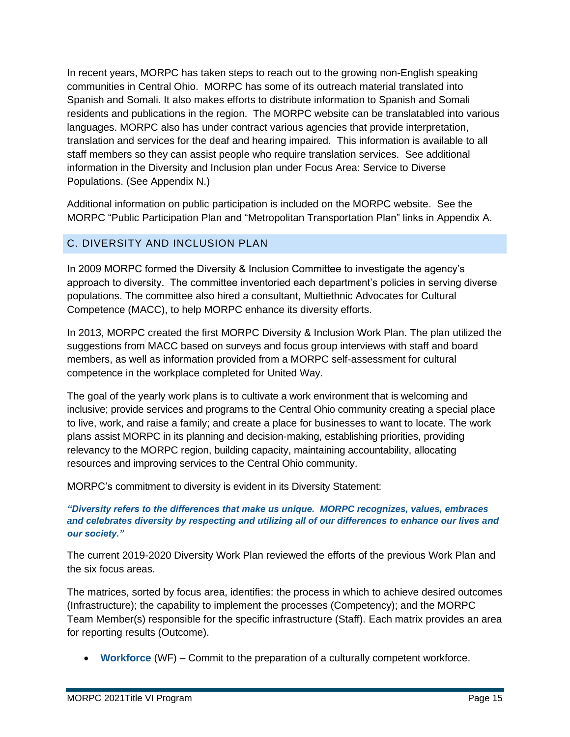In recent years, MORPC has taken steps to reach out to the growing non-English speaking communities in Central Ohio. MORPC has some of its outreach material translated into Spanish and Somali. It also makes efforts to distribute information to Spanish and Somali residents and publications in the region. The MORPC website can be translatabled into various languages. MORPC also has under contract various agencies that provide interpretation, translation and services for the deaf and hearing impaired. This information is available to all staff members so they can assist people who require translation services. See additional information in the Diversity and Inclusion plan under Focus Area: Service to Diverse Populations. (See Appendix N.)

Additional information on public participation is included on the MORPC website. See the MORPC "Public Participation Plan and "Metropolitan Transportation Plan" links in Appendix A.

# C. DIVERSITY AND INCLUSION PLAN

In 2009 MORPC formed the Diversity & Inclusion Committee to investigate the agency's approach to diversity. The committee inventoried each department's policies in serving diverse populations. The committee also hired a consultant, Multiethnic Advocates for Cultural Competence (MACC), to help MORPC enhance its diversity efforts.

In 2013, MORPC created the first MORPC Diversity & Inclusion Work Plan. The plan utilized the suggestions from MACC based on surveys and focus group interviews with staff and board members, as well as information provided from a MORPC self-assessment for cultural competence in the workplace completed for United Way.

The goal of the yearly work plans is to cultivate a work environment that is welcoming and inclusive; provide services and programs to the Central Ohio community creating a special place to live, work, and raise a family; and create a place for businesses to want to locate. The work plans assist MORPC in its planning and decision-making, establishing priorities, providing relevancy to the MORPC region, building capacity, maintaining accountability, allocating resources and improving services to the Central Ohio community.

MORPC's commitment to diversity is evident in its Diversity Statement:

*"Diversity refers to the differences that make us unique. MORPC recognizes, values, embraces and celebrates diversity by respecting and utilizing all of our differences to enhance our lives and our society."*

The current 2019-2020 Diversity Work Plan reviewed the efforts of the previous Work Plan and the six focus areas.

The matrices, sorted by focus area, identifies: the process in which to achieve desired outcomes (Infrastructure); the capability to implement the processes (Competency); and the MORPC Team Member(s) responsible for the specific infrastructure (Staff). Each matrix provides an area for reporting results (Outcome).

• **Workforce** (WF) – Commit to the preparation of a culturally competent workforce.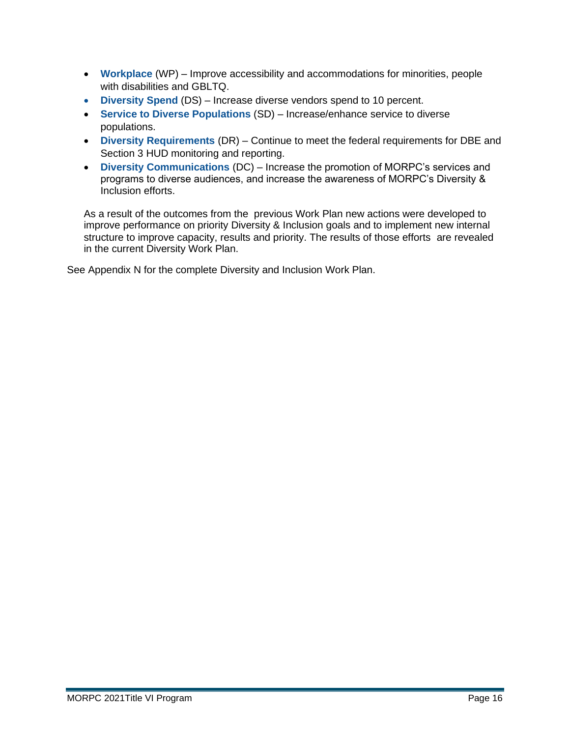- **Workplace** (WP) Improve accessibility and accommodations for minorities, people with disabilities and GBLTQ.
- **Diversity Spend** (DS) Increase diverse vendors spend to 10 percent.
- **Service to Diverse Populations** (SD) Increase/enhance service to diverse populations.
- **Diversity Requirements** (DR) Continue to meet the federal requirements for DBE and Section 3 HUD monitoring and reporting.
- **Diversity Communications** (DC) Increase the promotion of MORPC's services and programs to diverse audiences, and increase the awareness of MORPC's Diversity & Inclusion efforts.

As a result of the outcomes from the previous Work Plan new actions were developed to improve performance on priority Diversity & Inclusion goals and to implement new internal structure to improve capacity, results and priority. The results of those efforts are revealed in the current Diversity Work Plan.

See Appendix N for the complete Diversity and Inclusion Work Plan.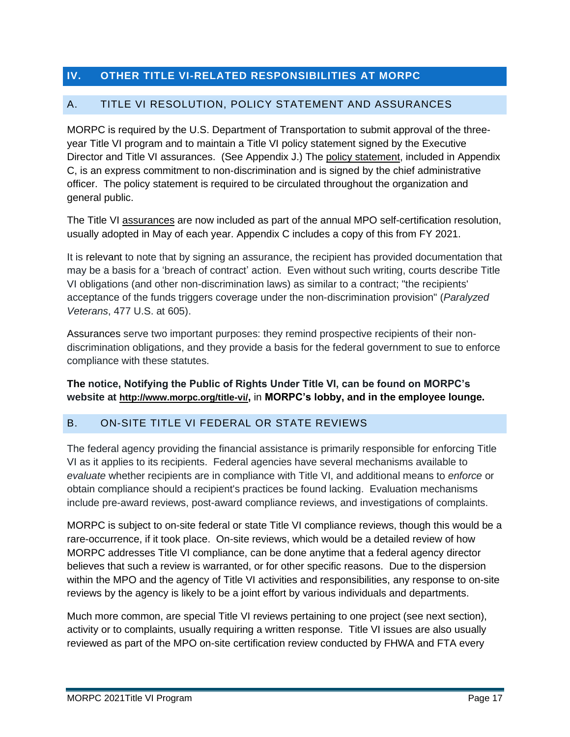# **IV. OTHER TITLE VI-RELATED RESPONSIBILITIES AT MORPC**

### A. TITLE VI RESOLUTION, POLICY STATEMENT AND ASSURANCES

MORPC is required by the U.S. Department of Transportation to submit approval of the threeyear Title VI program and to maintain a Title VI policy statement signed by the Executive Director and Title VI assurances. (See Appendix J.) The policy statement, included in Appendix C, is an express commitment to non-discrimination and is signed by the chief administrative officer. The policy statement is required to be circulated throughout the organization and general public.

The Title VI assurances are now included as part of the annual MPO self-certification resolution, usually adopted in May of each year. Appendix C includes a copy of this from FY 2021.

It is relevant to note that by signing an assurance, the recipient has provided documentation that may be a basis for a 'breach of contract' action. Even without such writing, courts describe Title VI obligations (and other non-discrimination laws) as similar to a contract; "the recipients' acceptance of the funds triggers coverage under the non-discrimination provision" (*Paralyzed Veterans*, 477 U.S. at 605).

Assurances serve two important purposes: they remind prospective recipients of their nondiscrimination obligations, and they provide a basis for the federal government to sue to enforce compliance with these statutes.

### **The notice, Notifying the Public of Rights Under Title VI, can be found on MORPC's website at http://www.morpc.org/title-vi/,** in **MORPC's lobby, and in the employee lounge.**

### B. ON-SITE TITLE VI FEDERAL OR STATE REVIEWS

The federal agency providing the financial assistance is primarily responsible for enforcing Title VI as it applies to its recipients. Federal agencies have several mechanisms available to *evaluate* whether recipients are in compliance with Title VI, and additional means to *enforce* or obtain compliance should a recipient's practices be found lacking. Evaluation mechanisms include pre-award reviews, post-award compliance reviews, and investigations of complaints.

MORPC is subject to on-site federal or state Title VI compliance reviews, though this would be a rare-occurrence, if it took place. On-site reviews, which would be a detailed review of how MORPC addresses Title VI compliance, can be done anytime that a federal agency director believes that such a review is warranted, or for other specific reasons. Due to the dispersion within the MPO and the agency of Title VI activities and responsibilities, any response to on-site reviews by the agency is likely to be a joint effort by various individuals and departments.

Much more common, are special Title VI reviews pertaining to one project (see next section), activity or to complaints, usually requiring a written response. Title VI issues are also usually reviewed as part of the MPO on-site certification review conducted by FHWA and FTA every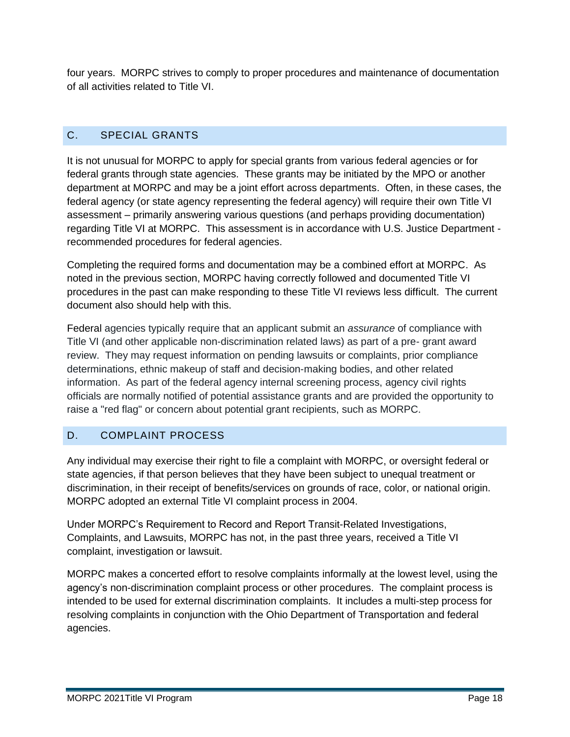four years. MORPC strives to comply to proper procedures and maintenance of documentation of all activities related to Title VI.

# C. SPECIAL GRANTS

It is not unusual for MORPC to apply for special grants from various federal agencies or for federal grants through state agencies. These grants may be initiated by the MPO or another department at MORPC and may be a joint effort across departments. Often, in these cases, the federal agency (or state agency representing the federal agency) will require their own Title VI assessment – primarily answering various questions (and perhaps providing documentation) regarding Title VI at MORPC. This assessment is in accordance with U.S. Justice Department recommended procedures for federal agencies.

Completing the required forms and documentation may be a combined effort at MORPC. As noted in the previous section, MORPC having correctly followed and documented Title VI procedures in the past can make responding to these Title VI reviews less difficult. The current document also should help with this.

Federal agencies typically require that an applicant submit an *assurance* of compliance with Title VI (and other applicable non-discrimination related laws) as part of a pre- grant award review. They may request information on pending lawsuits or complaints, prior compliance determinations, ethnic makeup of staff and decision-making bodies, and other related information. As part of the federal agency internal screening process, agency civil rights officials are normally notified of potential assistance grants and are provided the opportunity to raise a "red flag" or concern about potential grant recipients, such as MORPC.

# D. COMPLAINT PROCESS

Any individual may exercise their right to file a complaint with MORPC, or oversight federal or state agencies, if that person believes that they have been subject to unequal treatment or discrimination, in their receipt of benefits/services on grounds of race, color, or national origin. MORPC adopted an external Title VI complaint process in 2004.

Under MORPC's Requirement to Record and Report Transit-Related Investigations, Complaints, and Lawsuits, MORPC has not, in the past three years, received a Title VI complaint, investigation or lawsuit.

MORPC makes a concerted effort to resolve complaints informally at the lowest level, using the agency's non-discrimination complaint process or other procedures. The complaint process is intended to be used for external discrimination complaints. It includes a multi-step process for resolving complaints in conjunction with the Ohio Department of Transportation and federal agencies.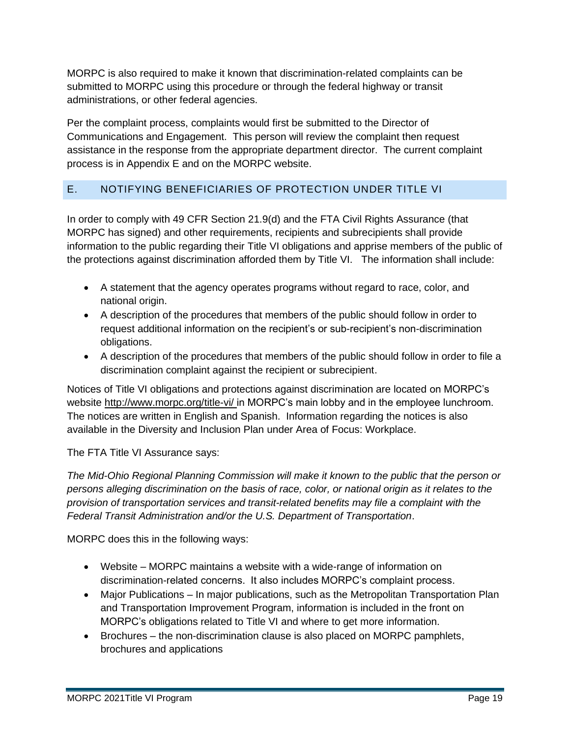MORPC is also required to make it known that discrimination-related complaints can be submitted to MORPC using this procedure or through the federal highway or transit administrations, or other federal agencies.

Per the complaint process, complaints would first be submitted to the Director of Communications and Engagement. This person will review the complaint then request assistance in the response from the appropriate department director. The current complaint process is in Appendix E and on the MORPC website.

# E. NOTIFYING BENEFICIARIES OF PROTECTION UNDER TITLE VI

In order to comply with 49 CFR Section 21.9(d) and the FTA Civil Rights Assurance (that MORPC has signed) and other requirements, recipients and subrecipients shall provide information to the public regarding their Title VI obligations and apprise members of the public of the protections against discrimination afforded them by Title VI. The information shall include:

- A statement that the agency operates programs without regard to race, color, and national origin.
- A description of the procedures that members of the public should follow in order to request additional information on the recipient's or sub-recipient's non-discrimination obligations.
- A description of the procedures that members of the public should follow in order to file a discrimination complaint against the recipient or subrecipient.

Notices of Title VI obligations and protections against discrimination are located on MORPC's website<http://www.morpc.org/title-vi/> in MORPC's main lobby and in the employee lunchroom. The notices are written in English and Spanish. Information regarding the notices is also available in the Diversity and Inclusion Plan under Area of Focus: Workplace.

The FTA Title VI Assurance says:

*The Mid-Ohio Regional Planning Commission will make it known to the public that the person or persons alleging discrimination on the basis of race, color, or national origin as it relates to the provision of transportation services and transit-related benefits may file a complaint with the Federal Transit Administration and/or the U.S. Department of Transportation*.

MORPC does this in the following ways:

- Website MORPC maintains a website with a wide-range of information on discrimination-related concerns. It also includes MORPC's complaint process.
- Major Publications In major publications, such as the Metropolitan Transportation Plan and Transportation Improvement Program, information is included in the front on MORPC's obligations related to Title VI and where to get more information.
- Brochures the non-discrimination clause is also placed on MORPC pamphlets, brochures and applications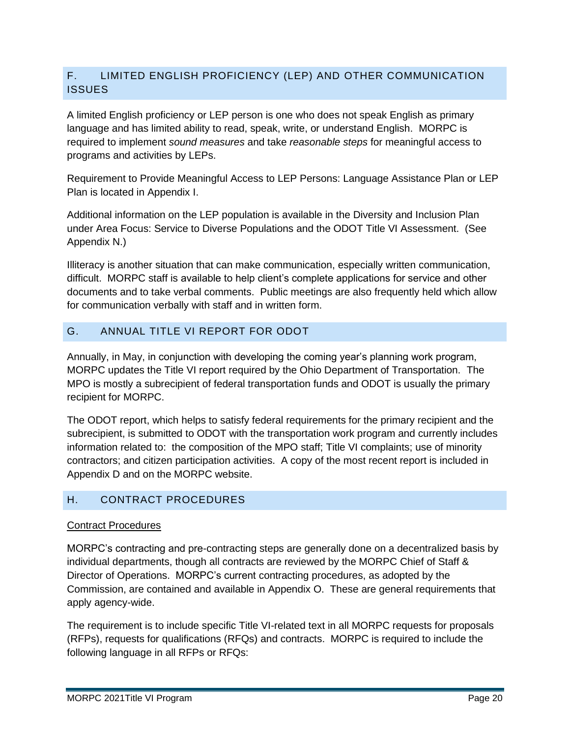# F. LIMITED ENGLISH PROFICIENCY (LEP) AND OTHER COMMUNICATION **ISSUES**

A limited English proficiency or LEP person is one who does not speak English as primary language and has limited ability to read, speak, write, or understand English. MORPC is required to implement *sound measures* and take *reasonable steps* for meaningful access to programs and activities by LEPs.

Requirement to Provide Meaningful Access to LEP Persons: Language Assistance Plan or LEP Plan is located in Appendix I.

Additional information on the LEP population is available in the Diversity and Inclusion Plan under Area Focus: Service to Diverse Populations and the ODOT Title VI Assessment. (See Appendix N.)

Illiteracy is another situation that can make communication, especially written communication, difficult. MORPC staff is available to help client's complete applications for service and other documents and to take verbal comments. Public meetings are also frequently held which allow for communication verbally with staff and in written form.

# G. ANNUAL TITLE VI REPORT FOR ODOT

Annually, in May, in conjunction with developing the coming year's planning work program, MORPC updates the Title VI report required by the Ohio Department of Transportation. The MPO is mostly a subrecipient of federal transportation funds and ODOT is usually the primary recipient for MORPC.

The ODOT report, which helps to satisfy federal requirements for the primary recipient and the subrecipient, is submitted to ODOT with the transportation work program and currently includes information related to: the composition of the MPO staff; Title VI complaints; use of minority contractors; and citizen participation activities. A copy of the most recent report is included in Appendix D and on the MORPC website.

#### H. CONTRACT PROCEDURES

#### Contract Procedures

MORPC's contracting and pre-contracting steps are generally done on a decentralized basis by individual departments, though all contracts are reviewed by the MORPC Chief of Staff & Director of Operations. MORPC's current contracting procedures, as adopted by the Commission, are contained and available in Appendix O. These are general requirements that apply agency-wide.

The requirement is to include specific Title VI-related text in all MORPC requests for proposals (RFPs), requests for qualifications (RFQs) and contracts. MORPC is required to include the following language in all RFPs or RFQs: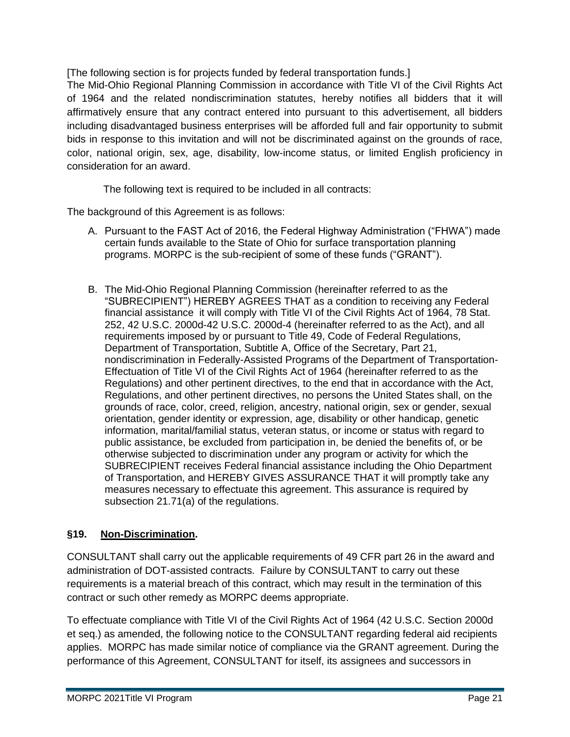[The following section is for projects funded by federal transportation funds.]

The Mid-Ohio Regional Planning Commission in accordance with Title VI of the Civil Rights Act of 1964 and the related nondiscrimination statutes, hereby notifies all bidders that it will affirmatively ensure that any contract entered into pursuant to this advertisement, all bidders including disadvantaged business enterprises will be afforded full and fair opportunity to submit bids in response to this invitation and will not be discriminated against on the grounds of race, color, national origin, sex, age, disability, low-income status, or limited English proficiency in consideration for an award.

The following text is required to be included in all contracts:

The background of this Agreement is as follows:

- A. Pursuant to the FAST Act of 2016, the Federal Highway Administration ("FHWA") made certain funds available to the State of Ohio for surface transportation planning programs. MORPC is the sub-recipient of some of these funds ("GRANT").
- B. The Mid-Ohio Regional Planning Commission (hereinafter referred to as the "SUBRECIPIENT") HEREBY AGREES THAT as a condition to receiving any Federal financial assistance it will comply with Title VI of the Civil Rights Act of 1964, 78 Stat. 252, 42 U.S.C. 2000d-42 U.S.C. 2000d-4 (hereinafter referred to as the Act), and all requirements imposed by or pursuant to Title 49, Code of Federal Regulations, Department of Transportation, Subtitle A, Office of the Secretary, Part 21, nondiscrimination in Federally-Assisted Programs of the Department of Transportation-Effectuation of Title VI of the Civil Rights Act of 1964 (hereinafter referred to as the Regulations) and other pertinent directives, to the end that in accordance with the Act, Regulations, and other pertinent directives, no persons the United States shall, on the grounds of race, color, creed, religion, ancestry, national origin, sex or gender, sexual orientation, gender identity or expression, age, disability or other handicap, genetic information, marital/familial status, veteran status, or income or status with regard to public assistance, be excluded from participation in, be denied the benefits of, or be otherwise subjected to discrimination under any program or activity for which the SUBRECIPIENT receives Federal financial assistance including the Ohio Department of Transportation, and HEREBY GIVES ASSURANCE THAT it will promptly take any measures necessary to effectuate this agreement. This assurance is required by subsection 21.71(a) of the regulations.

#### **§19. Non-Discrimination.**

CONSULTANT shall carry out the applicable requirements of 49 CFR part 26 in the award and administration of DOT-assisted contracts. Failure by CONSULTANT to carry out these requirements is a material breach of this contract, which may result in the termination of this contract or such other remedy as MORPC deems appropriate.

To effectuate compliance with Title VI of the Civil Rights Act of 1964 (42 U.S.C. Section 2000d et seq.) as amended, the following notice to the CONSULTANT regarding federal aid recipients applies. MORPC has made similar notice of compliance via the GRANT agreement. During the performance of this Agreement, CONSULTANT for itself, its assignees and successors in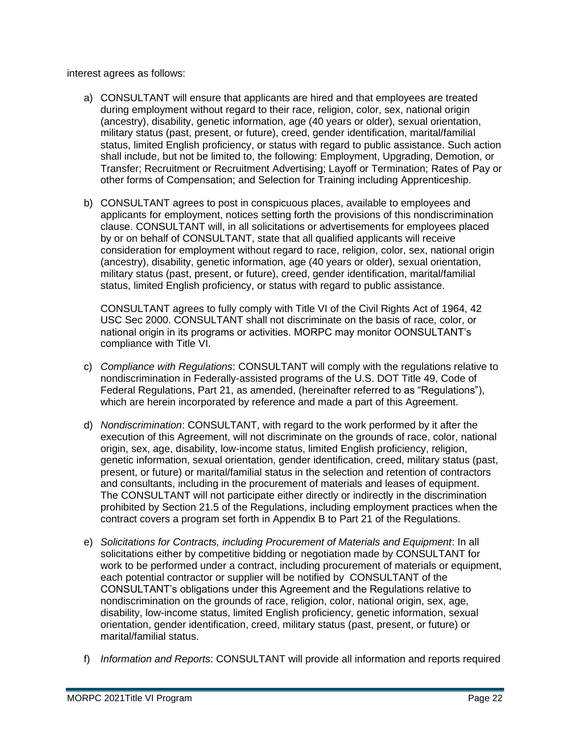interest agrees as follows:

- a) CONSULTANT will ensure that applicants are hired and that employees are treated during employment without regard to their race, religion, color, sex, national origin (ancestry), disability, genetic information, age (40 years or older), sexual orientation, military status (past, present, or future), creed, gender identification, marital/familial status, limited English proficiency, or status with regard to public assistance. Such action shall include, but not be limited to, the following: Employment, Upgrading, Demotion, or Transfer; Recruitment or Recruitment Advertising; Layoff or Termination; Rates of Pay or other forms of Compensation; and Selection for Training including Apprenticeship.
- b) CONSULTANT agrees to post in conspicuous places, available to employees and applicants for employment, notices setting forth the provisions of this nondiscrimination clause. CONSULTANT will, in all solicitations or advertisements for employees placed by or on behalf of CONSULTANT, state that all qualified applicants will receive consideration for employment without regard to race, religion, color, sex, national origin (ancestry), disability, genetic information, age (40 years or older), sexual orientation, military status (past, present, or future), creed, gender identification, marital/familial status, limited English proficiency, or status with regard to public assistance.

CONSULTANT agrees to fully comply with Title VI of the Civil Rights Act of 1964, 42 USC Sec 2000. CONSULTANT shall not discriminate on the basis of race, color, or national origin in its programs or activities. MORPC may monitor OONSULTANT's compliance with Title VI.

- c) *Compliance with Regulations*: CONSULTANT will comply with the regulations relative to nondiscrimination in Federally-assisted programs of the U.S. DOT Title 49, Code of Federal Regulations, Part 21, as amended, (hereinafter referred to as "Regulations"), which are herein incorporated by reference and made a part of this Agreement.
- d) *Nondiscrimination*: CONSULTANT, with regard to the work performed by it after the execution of this Agreement, will not discriminate on the grounds of race, color, national origin, sex, age, disability, low-income status, limited English proficiency, religion, genetic information, sexual orientation, gender identification, creed, military status (past, present, or future) or marital/familial status in the selection and retention of contractors and consultants, including in the procurement of materials and leases of equipment. The CONSULTANT will not participate either directly or indirectly in the discrimination prohibited by Section 21.5 of the Regulations, including employment practices when the contract covers a program set forth in Appendix B to Part 21 of the Regulations.
- e) *Solicitations for Contracts, including Procurement of Materials and Equipment*: In all solicitations either by competitive bidding or negotiation made by CONSULTANT for work to be performed under a contract, including procurement of materials or equipment, each potential contractor or supplier will be notified by CONSULTANT of the CONSULTANT's obligations under this Agreement and the Regulations relative to nondiscrimination on the grounds of race, religion, color, national origin, sex, age, disability, low-income status, limited English proficiency, genetic information, sexual orientation, gender identification, creed, military status (past, present, or future) or marital/familial status.
- f) *Information and Reports*: CONSULTANT will provide all information and reports required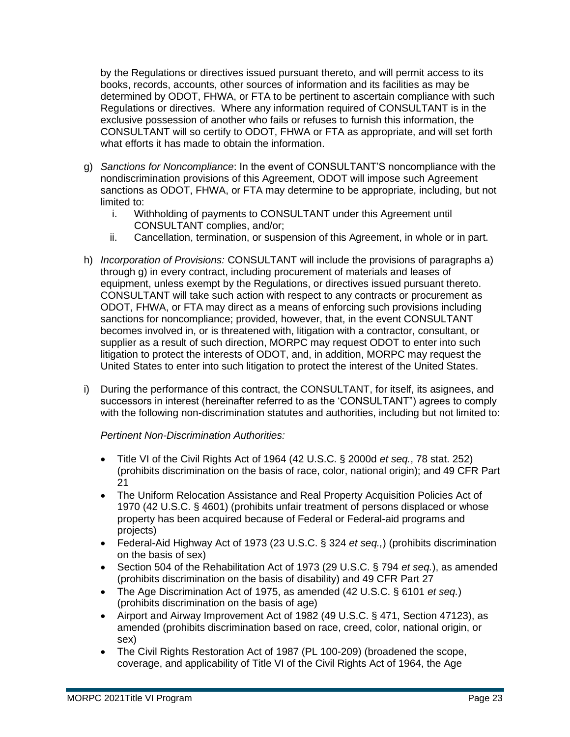by the Regulations or directives issued pursuant thereto, and will permit access to its books, records, accounts, other sources of information and its facilities as may be determined by ODOT, FHWA, or FTA to be pertinent to ascertain compliance with such Regulations or directives. Where any information required of CONSULTANT is in the exclusive possession of another who fails or refuses to furnish this information, the CONSULTANT will so certify to ODOT, FHWA or FTA as appropriate, and will set forth what efforts it has made to obtain the information.

- g) *Sanctions for Noncompliance*: In the event of CONSULTANT'S noncompliance with the nondiscrimination provisions of this Agreement, ODOT will impose such Agreement sanctions as ODOT, FHWA, or FTA may determine to be appropriate, including, but not limited to:
	- i. Withholding of payments to CONSULTANT under this Agreement until CONSULTANT complies, and/or;
	- ii. Cancellation, termination, or suspension of this Agreement, in whole or in part.
- h) *Incorporation of Provisions:* CONSULTANT will include the provisions of paragraphs a) through g) in every contract, including procurement of materials and leases of equipment, unless exempt by the Regulations, or directives issued pursuant thereto. CONSULTANT will take such action with respect to any contracts or procurement as ODOT, FHWA, or FTA may direct as a means of enforcing such provisions including sanctions for noncompliance; provided, however, that, in the event CONSULTANT becomes involved in, or is threatened with, litigation with a contractor, consultant, or supplier as a result of such direction, MORPC may request ODOT to enter into such litigation to protect the interests of ODOT, and, in addition, MORPC may request the United States to enter into such litigation to protect the interest of the United States.
- i) During the performance of this contract, the CONSULTANT, for itself, its asignees, and successors in interest (hereinafter referred to as the 'CONSULTANT") agrees to comply with the following non-discrimination statutes and authorities, including but not limited to:

#### *Pertinent Non-Discrimination Authorities:*

- Title VI of the Civil Rights Act of 1964 (42 U.S.C. § 2000d *et seq.*, 78 stat. 252) (prohibits discrimination on the basis of race, color, national origin); and 49 CFR Part 21
- The Uniform Relocation Assistance and Real Property Acquisition Policies Act of 1970 (42 U.S.C. § 4601) (prohibits unfair treatment of persons displaced or whose property has been acquired because of Federal or Federal-aid programs and projects)
- Federal-Aid Highway Act of 1973 (23 U.S.C. § 324 *et seq.,*) (prohibits discrimination on the basis of sex)
- Section 504 of the Rehabilitation Act of 1973 (29 U.S.C. § 794 *et seq.*), as amended (prohibits discrimination on the basis of disability) and 49 CFR Part 27
- The Age Discrimination Act of 1975, as amended (42 U.S.C. § 6101 *et seq.*) (prohibits discrimination on the basis of age)
- Airport and Airway Improvement Act of 1982 (49 U.S.C. § 471, Section 47123), as amended (prohibits discrimination based on race, creed, color, national origin, or sex)
- The Civil Rights Restoration Act of 1987 (PL 100-209) (broadened the scope, coverage, and applicability of Title VI of the Civil Rights Act of 1964, the Age